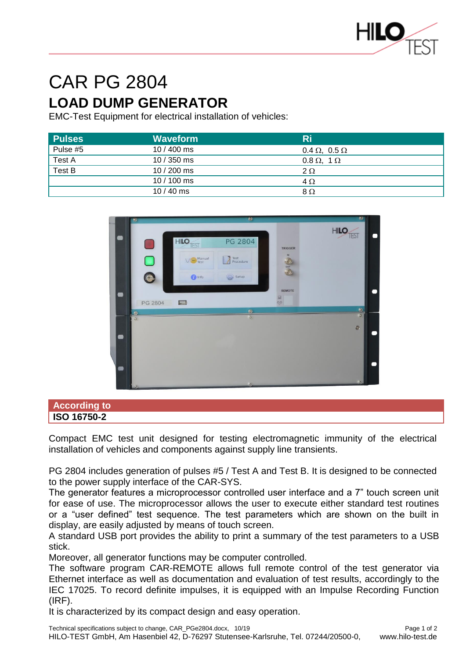

## CAR PG 2804

## **LOAD DUMP GENERATOR**

EMC-Test Equipment for electrical installation of vehicles:

| <b>Pulses</b> | <b>Waveform</b> | <b>Ri</b>                   |
|---------------|-----------------|-----------------------------|
| Pulse #5      | $10/400$ ms     | $0.4 \Omega$ , $0.5 \Omega$ |
| <b>Test A</b> | $10/350$ ms     | $0.8 \Omega$ , 1 $\Omega$   |
| Test B        | $10/200$ ms     | $2 \Omega$                  |
|               | 10 / 100 ms     | $4\Omega$                   |
|               | $10/40$ ms      | $8\Omega$                   |



## **According to ISO 16750-2**

Compact EMC test unit designed for testing electromagnetic immunity of the electrical installation of vehicles and components against supply line transients.

PG 2804 includes generation of pulses #5 / Test A and Test B. It is designed to be connected to the power supply interface of the CAR-SYS.

The generator features a microprocessor controlled user interface and a 7" touch screen unit for ease of use. The microprocessor allows the user to execute either standard test routines or a "user defined" test sequence. The test parameters which are shown on the built in display, are easily adjusted by means of touch screen.

A standard USB port provides the ability to print a summary of the test parameters to a USB stick.

Moreover, all generator functions may be computer controlled.

The software program CAR-REMOTE allows full remote control of the test generator via Ethernet interface as well as documentation and evaluation of test results, accordingly to the IEC 17025. To record definite impulses, it is equipped with an Impulse Recording Function (IRF).

It is characterized by its compact design and easy operation.